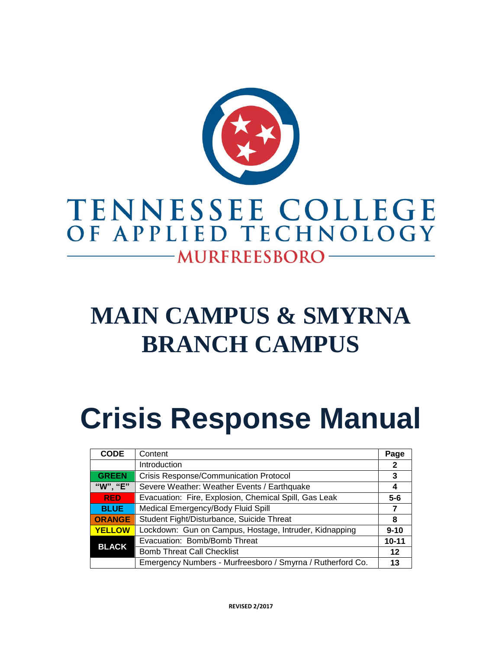

## TENNESSEE COLLEGE OF APPLIED TECHNOLOGY -MURFREESBORO-

# **MAIN CAMPUS & SMYRNA BRANCH CAMPUS**

# **Crisis Response Manual**

| <b>CODE</b>   | Content                                                    | Page         |
|---------------|------------------------------------------------------------|--------------|
|               | Introduction                                               | $\mathbf{2}$ |
| <b>GREEN</b>  | <b>Crisis Response/Communication Protocol</b>              | 3            |
| "W", "E"      | Severe Weather: Weather Events / Earthquake                | 4            |
| <b>RED</b>    | Evacuation: Fire, Explosion, Chemical Spill, Gas Leak      | $5 - 6$      |
| <b>BLUE</b>   | Medical Emergency/Body Fluid Spill                         | 7            |
| <b>ORANGE</b> | Student Fight/Disturbance, Suicide Threat                  | 8            |
| <b>YELLOW</b> | Lockdown: Gun on Campus, Hostage, Intruder, Kidnapping     | $9 - 10$     |
| <b>BLACK</b>  | Evacuation: Bomb/Bomb Threat                               | $10 - 11$    |
|               | <b>Bomb Threat Call Checklist</b>                          | 12           |
|               | Emergency Numbers - Murfreesboro / Smyrna / Rutherford Co. | 13           |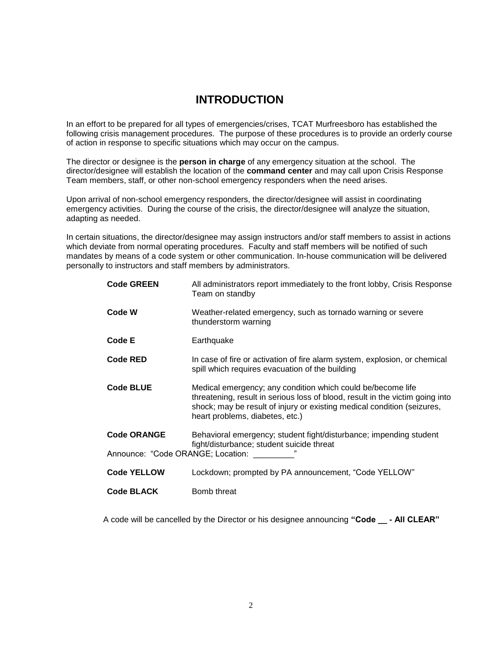## **INTRODUCTION**

In an effort to be prepared for all types of emergencies/crises, TCAT Murfreesboro has established the following crisis management procedures. The purpose of these procedures is to provide an orderly course of action in response to specific situations which may occur on the campus.

The director or designee is the **person in charge** of any emergency situation at the school. The director/designee will establish the location of the **command center** and may call upon Crisis Response Team members, staff, or other non-school emergency responders when the need arises.

Upon arrival of non-school emergency responders, the director/designee will assist in coordinating emergency activities. During the course of the crisis, the director/designee will analyze the situation, adapting as needed.

In certain situations, the director/designee may assign instructors and/or staff members to assist in actions which deviate from normal operating procedures. Faculty and staff members will be notified of such mandates by means of a code system or other communication. In-house communication will be delivered personally to instructors and staff members by administrators.

| <b>Code GREEN</b>                 | All administrators report immediately to the front lobby, Crisis Response<br>Team on standby                                                                                                                                                               |
|-----------------------------------|------------------------------------------------------------------------------------------------------------------------------------------------------------------------------------------------------------------------------------------------------------|
| Code W                            | Weather-related emergency, such as tornado warning or severe<br>thunderstorm warning                                                                                                                                                                       |
| <b>Code E</b>                     | Earthquake                                                                                                                                                                                                                                                 |
| <b>Code RED</b>                   | In case of fire or activation of fire alarm system, explosion, or chemical<br>spill which requires evacuation of the building                                                                                                                              |
| <b>Code BLUE</b>                  | Medical emergency; any condition which could be/become life<br>threatening, result in serious loss of blood, result in the victim going into<br>shock; may be result of injury or existing medical condition (seizures,<br>heart problems, diabetes, etc.) |
| <b>Code ORANGE</b>                | Behavioral emergency; student fight/disturbance; impending student<br>fight/disturbance; student suicide threat                                                                                                                                            |
| Announce: "Code ORANGE; Location: |                                                                                                                                                                                                                                                            |
| <b>Code YELLOW</b>                | Lockdown; prompted by PA announcement, "Code YELLOW"                                                                                                                                                                                                       |
| <b>Code BLACK</b>                 | Bomb threat                                                                                                                                                                                                                                                |

A code will be cancelled by the Director or his designee announcing **"Code \_\_ - All CLEAR"**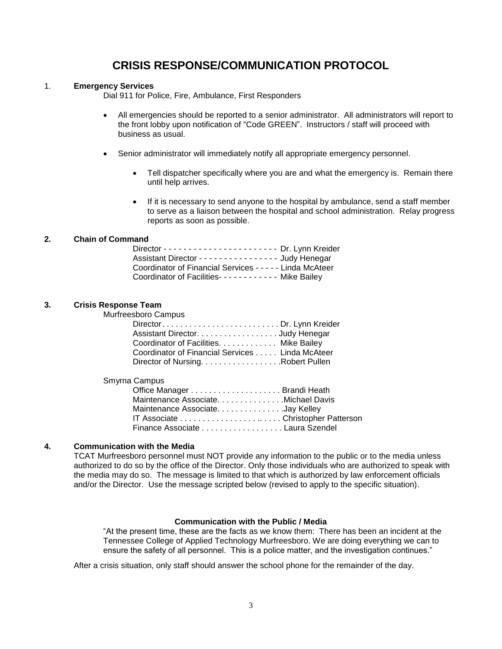## **CRISIS RESPONSE/COMMUNICATION PROTOCOL**

#### 1. **Emergency Services**

Dial 911 for Police, Fire, Ambulance, First Responders

- All emergencies should be reported to a senior administrator. All administrators will report to the front lobby upon notification of "Code GREEN". Instructors / staff will proceed with business as usual.
- Senior administrator will immediately notify all appropriate emergency personnel.
	- Tell dispatcher specifically where you are and what the emergency is. Remain there until help arrives.
	- If it is necessary to send anyone to the hospital by ambulance, send a staff member to serve as a liaison between the hospital and school administration. Relay progress reports as soon as possible.

#### **2. Chain of Command**

| Assistant Director - - - - - - - - - - - - - - - Judy Henegar |  |
|---------------------------------------------------------------|--|
| Coordinator of Financial Services - - - - - Linda McAteer     |  |
| Coordinator of Facilities- - - - - - - - - - - Mike Bailey    |  |

#### **3. Crisis Response Team**

Murfreesboro Campus

| DirectorDr. Lynn Kreider                        |  |
|-------------------------------------------------|--|
| Assistant Director. Judy Henegar                |  |
| Coordinator of Facilities. Mike Bailey          |  |
| Coordinator of Financial Services Linda McAteer |  |
| Director of NursingRobert Pullen                |  |

#### Smyrna Campus

| Maintenance Associate. Michael Davis |  |
|--------------------------------------|--|
| Maintenance AssociateJay Kelley      |  |
|                                      |  |
| Finance Associate Laura Szendel      |  |

#### **4. Communication with the Media**

TCAT Murfreesboro personnel must NOT provide any information to the public or to the media unless authorized to do so by the office of the Director. Only those individuals who are authorized to speak with the media may do so. The message is limited to that which is authorized by law enforcement officials and/or the Director. Use the message scripted below (revised to apply to the specific situation).

#### **Communication with the Public / Media**

"At the present time, these are the facts as we know them: There has been an incident at the Tennessee College of Applied Technology Murfreesboro. We are doing everything we can to ensure the safety of all personnel. This is a police matter, and the investigation continues."

After a crisis situation, only staff should answer the school phone for the remainder of the day.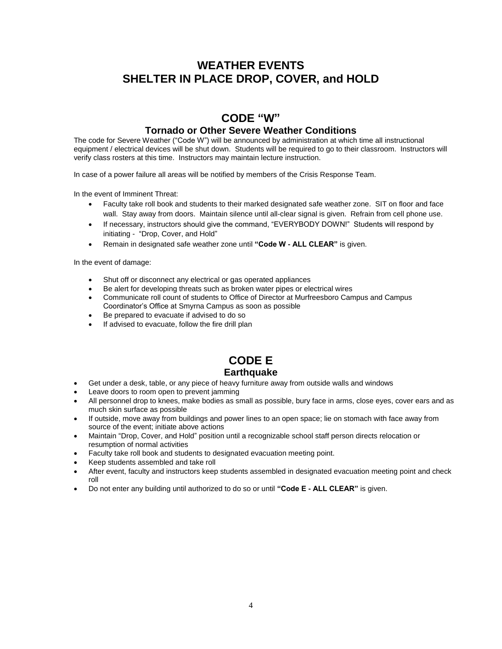## **WEATHER EVENTS SHELTER IN PLACE DROP, COVER, and HOLD**

## **CODE "W"**

#### **Tornado or Other Severe Weather Conditions**

The code for Severe Weather ("Code W") will be announced by administration at which time all instructional equipment / electrical devices will be shut down. Students will be required to go to their classroom. Instructors will verify class rosters at this time. Instructors may maintain lecture instruction.

In case of a power failure all areas will be notified by members of the Crisis Response Team.

In the event of Imminent Threat:

- Faculty take roll book and students to their marked designated safe weather zone. SIT on floor and face wall. Stay away from doors. Maintain silence until all-clear signal is given. Refrain from cell phone use.
- If necessary, instructors should give the command, "EVERYBODY DOWN!" Students will respond by initiating - "Drop, Cover, and Hold"
- Remain in designated safe weather zone until **"Code W - ALL CLEAR"** is given.

In the event of damage:

- Shut off or disconnect any electrical or gas operated appliances
- Be alert for developing threats such as broken water pipes or electrical wires
- Communicate roll count of students to Office of Director at Murfreesboro Campus and Campus Coordinator's Office at Smyrna Campus as soon as possible
- Be prepared to evacuate if advised to do so
- If advised to evacuate, follow the fire drill plan

## **CODE E**

## **Earthquake**

- Get under a desk, table, or any piece of heavy furniture away from outside walls and windows
- Leave doors to room open to prevent jamming
- All personnel drop to knees, make bodies as small as possible, bury face in arms, close eyes, cover ears and as much skin surface as possible
- If outside, move away from buildings and power lines to an open space; lie on stomach with face away from source of the event; initiate above actions
- Maintain "Drop, Cover, and Hold" position until a recognizable school staff person directs relocation or resumption of normal activities
- Faculty take roll book and students to designated evacuation meeting point.
- Keep students assembled and take roll
- After event, faculty and instructors keep students assembled in designated evacuation meeting point and check roll
- Do not enter any building until authorized to do so or until **"Code E - ALL CLEAR"** is given.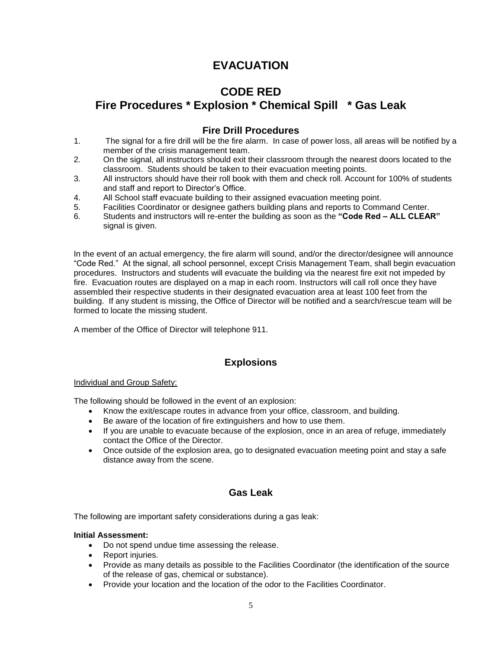## **EVACUATION**

## **CODE RED**

## **Fire Procedures \* Explosion \* Chemical Spill \* Gas Leak**

## **Fire Drill Procedures**

- 1. The signal for a fire drill will be the fire alarm. In case of power loss, all areas will be notified by a member of the crisis management team.
- 2. On the signal, all instructors should exit their classroom through the nearest doors located to the classroom. Students should be taken to their evacuation meeting points.
- 3. All instructors should have their roll book with them and check roll. Account for 100% of students and staff and report to Director's Office.
- 4. All School staff evacuate building to their assigned evacuation meeting point.
- 5. Facilities Coordinator or designee gathers building plans and reports to Command Center.
- 6. Students and instructors will re-enter the building as soon as the **"Code Red – ALL CLEAR"** signal is given.

In the event of an actual emergency, the fire alarm will sound, and/or the director/designee will announce "Code Red." At the signal, all school personnel, except Crisis Management Team, shall begin evacuation procedures. Instructors and students will evacuate the building via the nearest fire exit not impeded by fire. Evacuation routes are displayed on a map in each room. Instructors will call roll once they have assembled their respective students in their designated evacuation area at least 100 feet from the building. If any student is missing, the Office of Director will be notified and a search/rescue team will be formed to locate the missing student.

A member of the Office of Director will telephone 911.

## **Explosions**

#### Individual and Group Safety:

The following should be followed in the event of an explosion:

- Know the exit/escape routes in advance from your office, classroom, and building.
- Be aware of the location of fire extinguishers and how to use them.
- If you are unable to evacuate because of the explosion, once in an area of refuge, immediately contact the Office of the Director.
- Once outside of the explosion area, go to designated evacuation meeting point and stay a safe distance away from the scene.

## **Gas Leak**

The following are important safety considerations during a gas leak:

#### **Initial Assessment:**

- Do not spend undue time assessing the release.
- Report injuries.
- Provide as many details as possible to the Facilities Coordinator (the identification of the source of the release of gas, chemical or substance).
- Provide your location and the location of the odor to the Facilities Coordinator.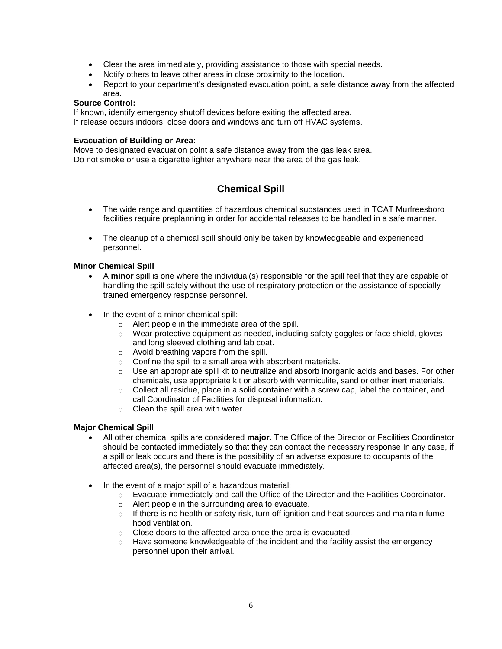- Clear the area immediately, providing assistance to those with special needs.
- Notify others to leave other areas in close proximity to the location.
- Report to your department's designated evacuation point, a safe distance away from the affected area.

#### **Source Control:**

If known, identify emergency shutoff devices before exiting the affected area. If release occurs indoors, close doors and windows and turn off HVAC systems.

#### **Evacuation of Building or Area:**

Move to designated evacuation point a safe distance away from the gas leak area. Do not smoke or use a cigarette lighter anywhere near the area of the gas leak.

## **Chemical Spill**

- The wide range and quantities of hazardous chemical substances used in TCAT Murfreesboro facilities require preplanning in order for accidental releases to be handled in a safe manner.
- The cleanup of a chemical spill should only be taken by knowledgeable and experienced personnel.

#### **Minor Chemical Spill**

- A **minor** spill is one where the individual(s) responsible for the spill feel that they are capable of handling the spill safely without the use of respiratory protection or the assistance of specially trained emergency response personnel.
- In the event of a minor chemical spill:
	- o Alert people in the immediate area of the spill.
	- o Wear protective equipment as needed, including safety goggles or face shield, gloves and long sleeved clothing and lab coat.
	- o Avoid breathing vapors from the spill.
	- o Confine the spill to a small area with absorbent materials.
	- $\circ$  Use an appropriate spill kit to neutralize and absorb inorganic acids and bases. For other chemicals, use appropriate kit or absorb with vermiculite, sand or other inert materials.
	- $\circ$  Collect all residue, place in a solid container with a screw cap, label the container, and call Coordinator of Facilities for disposal information.
	- o Clean the spill area with water.

#### **Major Chemical Spill**

- All other chemical spills are considered **major**. The Office of the Director or Facilities Coordinator should be contacted immediately so that they can contact the necessary response In any case, if a spill or leak occurs and there is the possibility of an adverse exposure to occupants of the affected area(s), the personnel should evacuate immediately.
- In the event of a major spill of a hazardous material:
	- o Evacuate immediately and call the Office of the Director and the Facilities Coordinator.
	- o Alert people in the surrounding area to evacuate.
	- $\circ$  If there is no health or safety risk, turn off ignition and heat sources and maintain fume hood ventilation.
	- o Close doors to the affected area once the area is evacuated.
	- $\circ$  Have someone knowledgeable of the incident and the facility assist the emergency personnel upon their arrival.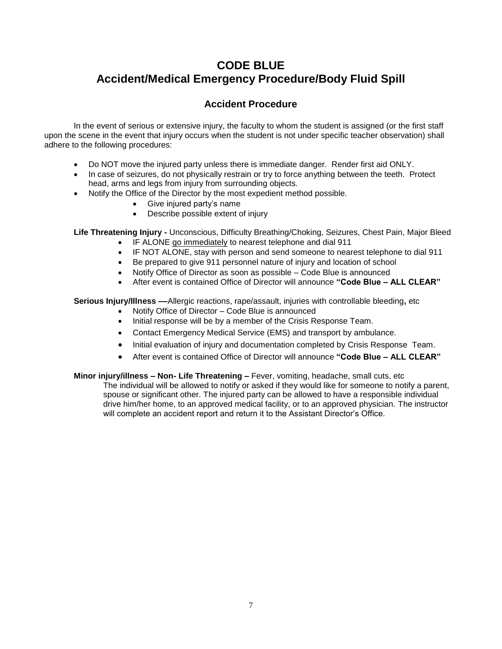## **CODE BLUE Accident/Medical Emergency Procedure/Body Fluid Spill**

## **Accident Procedure**

In the event of serious or extensive injury, the faculty to whom the student is assigned (or the first staff upon the scene in the event that injury occurs when the student is not under specific teacher observation) shall adhere to the following procedures:

- Do NOT move the injured party unless there is immediate danger. Render first aid ONLY.
- In case of seizures, do not physically restrain or try to force anything between the teeth. Protect head, arms and legs from injury from surrounding objects.
- Notify the Office of the Director by the most expedient method possible.
	- Give injured party's name
	- Describe possible extent of injury

**Life Threatening Injury -** Unconscious, Difficulty Breathing/Choking, Seizures, Chest Pain, Major Bleed

- IF ALONE go immediately to nearest telephone and dial 911
- IF NOT ALONE, stay with person and send someone to nearest telephone to dial 911
- Be prepared to give 911 personnel nature of injury and location of school
- Notify Office of Director as soon as possible Code Blue is announced
- After event is contained Office of Director will announce **"Code Blue – ALL CLEAR"**

**Serious Injury/Illness ––**Allergic reactions, rape/assault, injuries with controllable bleeding**,** etc

- Notify Office of Director Code Blue is announced
- Initial response will be by a member of the Crisis Response Team.
- Contact Emergency Medical Service (EMS) and transport by ambulance.
- Initial evaluation of injury and documentation completed by Crisis Response Team.
- After event is contained Office of Director will announce **"Code Blue – ALL CLEAR"**
- **Minor injury/illness – Non- Life Threatening –** Fever, vomiting, headache, small cuts, etc The individual will be allowed to notify or asked if they would like for someone to notify a parent, spouse or significant other. The injured party can be allowed to have a responsible individual drive him/her home, to an approved medical facility, or to an approved physician. The instructor will complete an accident report and return it to the Assistant Director's Office.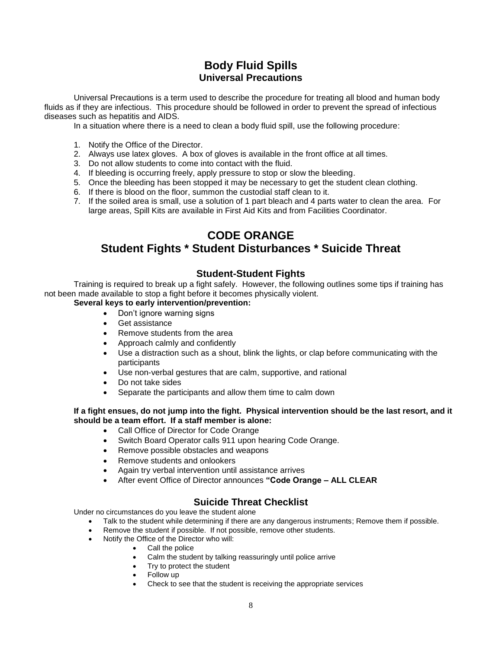## **Body Fluid Spills Universal Precautions**

Universal Precautions is a term used to describe the procedure for treating all blood and human body fluids as if they are infectious. This procedure should be followed in order to prevent the spread of infectious diseases such as hepatitis and AIDS.

In a situation where there is a need to clean a body fluid spill, use the following procedure:

- 1. Notify the Office of the Director.
- 2. Always use latex gloves. A box of gloves is available in the front office at all times.
- 3. Do not allow students to come into contact with the fluid.
- 4. If bleeding is occurring freely, apply pressure to stop or slow the bleeding.
- 5. Once the bleeding has been stopped it may be necessary to get the student clean clothing.
- 6. If there is blood on the floor, summon the custodial staff clean to it.
- 7. If the soiled area is small, use a solution of 1 part bleach and 4 parts water to clean the area. For large areas, Spill Kits are available in First Aid Kits and from Facilities Coordinator.

## **CODE ORANGE Student Fights \* Student Disturbances \* Suicide Threat**

## **Student-Student Fights**

Training is required to break up a fight safely. However, the following outlines some tips if training has not been made available to stop a fight before it becomes physically violent.

#### **Several keys to early intervention/prevention:**

- Don't ignore warning signs
- Get assistance
- Remove students from the area
- Approach calmly and confidently
- Use a distraction such as a shout, blink the lights, or clap before communicating with the participants
- Use non-verbal gestures that are calm, supportive, and rational
- Do not take sides
- Separate the participants and allow them time to calm down

#### **If a fight ensues, do not jump into the fight. Physical intervention should be the last resort, and it should be a team effort. If a staff member is alone:**

- Call Office of Director for Code Orange
- Switch Board Operator calls 911 upon hearing Code Orange.
- Remove possible obstacles and weapons
- Remove students and onlookers
- Again try verbal intervention until assistance arrives
- After event Office of Director announces **"Code Orange – ALL CLEAR**

## **Suicide Threat Checklist**

Under no circumstances do you leave the student alone

- Talk to the student while determining if there are any dangerous instruments; Remove them if possible.
- Remove the student if possible. If not possible, remove other students.
- Notify the Office of the Director who will:
	- Call the police
	- Calm the student by talking reassuringly until police arrive
	- Try to protect the student
	- Follow up
	- Check to see that the student is receiving the appropriate services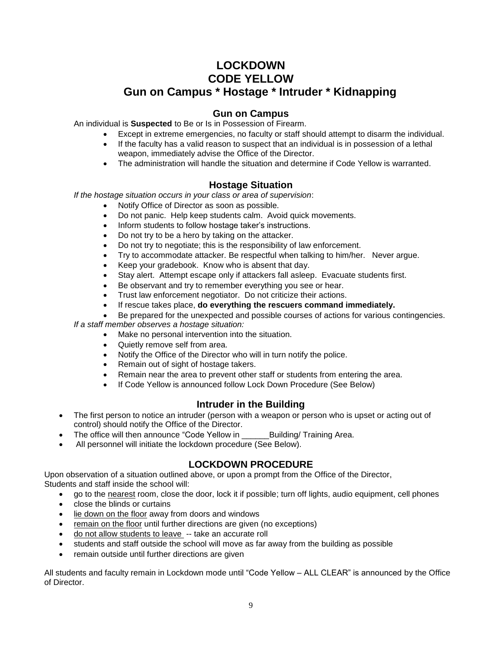## **LOCKDOWN CODE YELLOW Gun on Campus \* Hostage \* Intruder \* Kidnapping**

## **Gun on Campus**

An individual is **Suspected** to Be or Is in Possession of Firearm.

- Except in extreme emergencies, no faculty or staff should attempt to disarm the individual.
- If the faculty has a valid reason to suspect that an individual is in possession of a lethal weapon, immediately advise the Office of the Director.
- The administration will handle the situation and determine if Code Yellow is warranted.

## **Hostage Situation**

*If the hostage situation occurs in your class or area of supervision*:

- Notify Office of Director as soon as possible.
- Do not panic. Help keep students calm. Avoid quick movements.
- Inform students to follow hostage taker's instructions.
- Do not try to be a hero by taking on the attacker.
- Do not try to negotiate; this is the responsibility of law enforcement.
- Try to accommodate attacker. Be respectful when talking to him/her. Never argue.
- Keep your gradebook. Know who is absent that day.
- Stay alert. Attempt escape only if attackers fall asleep. Evacuate students first.
- Be observant and try to remember everything you see or hear.
- Trust law enforcement negotiator. Do not criticize their actions.
- If rescue takes place, **do everything the rescuers command immediately.**
- Be prepared for the unexpected and possible courses of actions for various contingencies.

*If a staff member observes a hostage situation:*

- Make no personal intervention into the situation.
- Quietly remove self from area.
- Notify the Office of the Director who will in turn notify the police.
- Remain out of sight of hostage takers.
- Remain near the area to prevent other staff or students from entering the area.
- If Code Yellow is announced follow Lock Down Procedure (See Below)

## **Intruder in the Building**

- The first person to notice an intruder (person with a weapon or person who is upset or acting out of control) should notify the Office of the Director.
- The office will then announce "Code Yellow in Building/ Training Area.
- All personnel will initiate the lockdown procedure (See Below).

## **LOCKDOWN PROCEDURE**

Upon observation of a situation outlined above, or upon a prompt from the Office of the Director, Students and staff inside the school will:

- go to the nearest room, close the door, lock it if possible; turn off lights, audio equipment, cell phones
- close the blinds or curtains
- lie down on the floor away from doors and windows
- remain on the floor until further directions are given (no exceptions)
- do not allow students to leave -- take an accurate roll
- students and staff outside the school will move as far away from the building as possible
- remain outside until further directions are given

All students and faculty remain in Lockdown mode until "Code Yellow – ALL CLEAR" is announced by the Office of Director.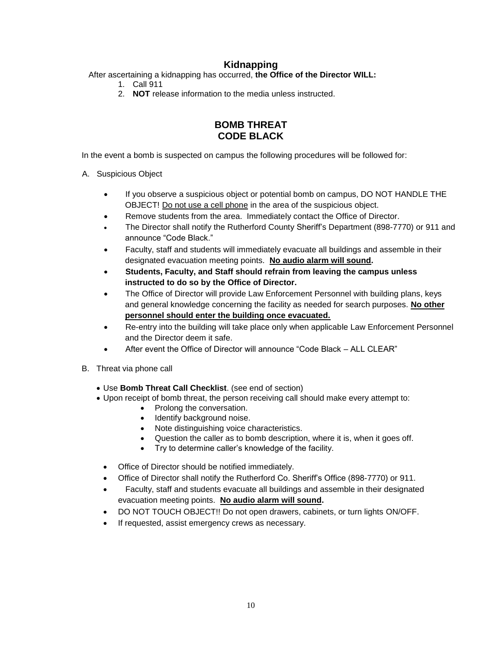## **Kidnapping**

After ascertaining a kidnapping has occurred, **the Office of the Director WILL:**

- 1. Call 911
- 2. **NOT** release information to the media unless instructed.

## **BOMB THREAT CODE BLACK**

In the event a bomb is suspected on campus the following procedures will be followed for:

- A. Suspicious Object
	- If you observe a suspicious object or potential bomb on campus, DO NOT HANDLE THE OBJECT! Do not use a cell phone in the area of the suspicious object.
	- Remove students from the area. Immediately contact the Office of Director.
	- The Director shall notify the Rutherford County Sheriff's Department (898-7770) or 911 and announce "Code Black."
	- Faculty, staff and students will immediately evacuate all buildings and assemble in their designated evacuation meeting points. **No audio alarm will sound.**
	- **Students, Faculty, and Staff should refrain from leaving the campus unless instructed to do so by the Office of Director.**
	- The Office of Director will provide Law Enforcement Personnel with building plans, keys and general knowledge concerning the facility as needed for search purposes. **No other personnel should enter the building once evacuated.**
	- Re-entry into the building will take place only when applicable Law Enforcement Personnel and the Director deem it safe.
	- After event the Office of Director will announce "Code Black ALL CLEAR"
- B. Threat via phone call
	- Use **Bomb Threat Call Checklist**. (see end of section)
	- Upon receipt of bomb threat, the person receiving call should make every attempt to:
		- Prolong the conversation.
		- Identify background noise.
		- Note distinguishing voice characteristics.
		- Question the caller as to bomb description, where it is, when it goes off.
		- Try to determine caller's knowledge of the facility.
		- Office of Director should be notified immediately.
		- Office of Director shall notify the Rutherford Co. Sheriff's Office (898-7770) or 911.
		- Faculty, staff and students evacuate all buildings and assemble in their designated evacuation meeting points. **No audio alarm will sound.**
		- DO NOT TOUCH OBJECT!! Do not open drawers, cabinets, or turn lights ON/OFF.
		- If requested, assist emergency crews as necessary.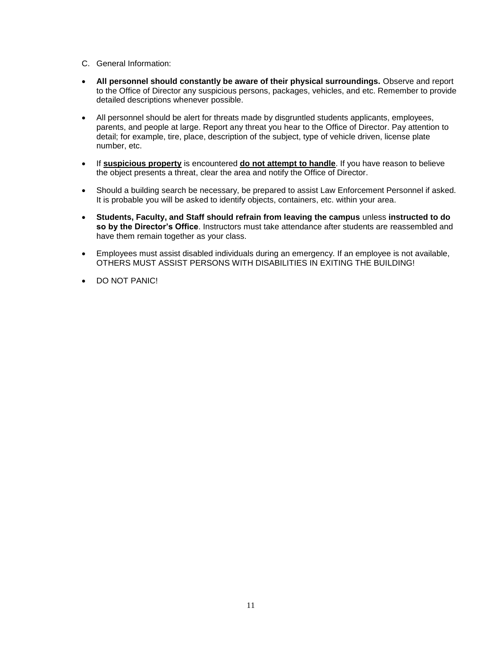- C. General Information:
- **All personnel should constantly be aware of their physical surroundings.** Observe and report to the Office of Director any suspicious persons, packages, vehicles, and etc. Remember to provide detailed descriptions whenever possible.
- All personnel should be alert for threats made by disgruntled students applicants, employees, parents, and people at large. Report any threat you hear to the Office of Director. Pay attention to detail; for example, tire, place, description of the subject, type of vehicle driven, license plate number, etc.
- If **suspicious property** is encountered **do not attempt to handle**. If you have reason to believe the object presents a threat, clear the area and notify the Office of Director.
- Should a building search be necessary, be prepared to assist Law Enforcement Personnel if asked. It is probable you will be asked to identify objects, containers, etc. within your area.
- **Students, Faculty, and Staff should refrain from leaving the campus** unless **instructed to do so by the Director's Office**. Instructors must take attendance after students are reassembled and have them remain together as your class.
- Employees must assist disabled individuals during an emergency. If an employee is not available, OTHERS MUST ASSIST PERSONS WITH DISABILITIES IN EXITING THE BUILDING!
- DO NOT PANIC!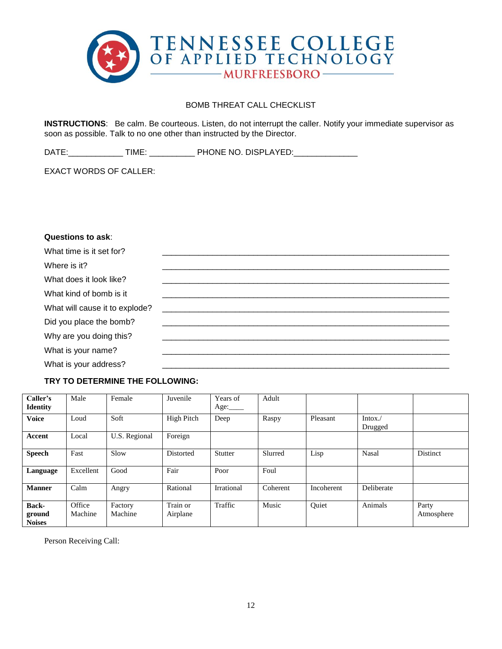

#### BOMB THREAT CALL CHECKLIST

**INSTRUCTIONS**: Be calm. Be courteous. Listen, do not interrupt the caller. Notify your immediate supervisor as soon as possible. Talk to no one other than instructed by the Director.

DATE:\_\_\_\_\_\_\_\_\_\_\_\_\_\_\_ TIME: \_\_\_\_\_\_\_\_\_\_\_\_\_ PHONE NO. DISPLAYED:\_\_\_\_\_\_\_\_\_\_\_\_\_\_\_\_\_\_\_

EXACT WORDS OF CALLER:

#### **Questions to ask**:

| What time is it set for?       |  |
|--------------------------------|--|
| Where is it?                   |  |
| What does it look like?        |  |
| What kind of bomb is it        |  |
| What will cause it to explode? |  |
| Did you place the bomb?        |  |
| Why are you doing this?        |  |
| What is your name?             |  |
| What is your address?          |  |

## **TRY TO DETERMINE THE FOLLOWING:**

| Caller's<br><b>Identity</b>             | Male              | Female             | Juvenile             | Years of<br>Age: $\_\_\_\_\$ | Adult    |            |                    |                     |
|-----------------------------------------|-------------------|--------------------|----------------------|------------------------------|----------|------------|--------------------|---------------------|
| <b>Voice</b>                            | Loud              | Soft               | High Pitch           | Deep                         | Raspy    | Pleasant   | Intox./<br>Drugged |                     |
| Accent                                  | Local             | U.S. Regional      | Foreign              |                              |          |            |                    |                     |
| <b>Speech</b>                           | Fast              | Slow               | Distorted            | Stutter                      | Slurred  | Lisp       | Nasal              | Distinct            |
| Language                                | Excellent         | Good               | Fair                 | Poor                         | Foul     |            |                    |                     |
| <b>Manner</b>                           | Calm              | Angry              | Rational             | Irrational                   | Coherent | Incoherent | Deliberate         |                     |
| <b>Back-</b><br>ground<br><b>Noises</b> | Office<br>Machine | Factory<br>Machine | Train or<br>Airplane | Traffic                      | Music    | Ouiet      | Animals            | Party<br>Atmosphere |

Person Receiving Call: